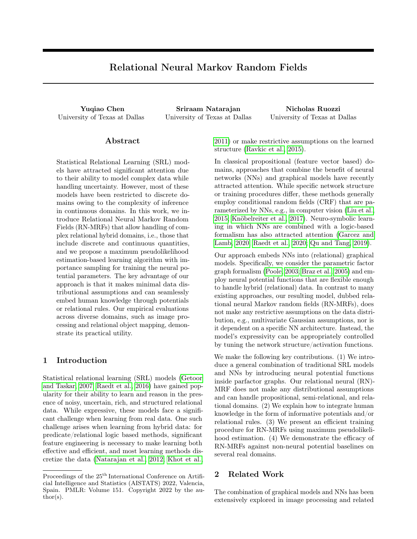# Relational Neural Markov Random Fields

University of Texas at Dallas University of Texas at Dallas University of Texas at Dallas

Yuqiao Chen Sriraam Natarajan Nicholas Ruozzi

#### Abstract

Statistical Relational Learning (SRL) models have attracted significant attention due to their ability to model complex data while handling uncertainty. However, most of these models have been restricted to discrete domains owing to the complexity of inference in continuous domains. In this work, we introduce Relational Neural Markov Random Fields (RN-MRFs) that allow handling of complex relational hybrid domains, i.e., those that include discrete and continuous quantities, and we propose a maximum pseudolikelihood estimation-based learning algorithm with importance sampling for training the neural potential parameters. The key advantage of our approach is that it makes minimal data distributional assumptions and can seamlessly embed human knowledge through potentials or relational rules. Our empirical evaluations across diverse domains, such as image processing and relational object mapping, demonstrate its practical utility.

# 1 Introduction

Statistical relational learning (SRL) models [\(Getoor](#page-8-0) [and Taskar, 2007;](#page-8-0) [Raedt et al., 2016\)](#page-9-0) have gained popularity for their ability to learn and reason in the presence of noisy, uncertain, rich, and structured relational data. While expressive, these models face a significant challenge when learning from real data. One such challenge arises when learning from hybrid data: for predicate/relational logic based methods, significant feature engineering is necessary to make learning both effective and efficient, and most learning methods discretize the data [\(Natarajan et al., 2012;](#page-9-1) [Khot et al.,](#page-8-1) [2011\)](#page-8-1) or make restrictive assumptions on the learned structure [\(Ravkic et al., 2015\)](#page-9-2).

In classical propositional (feature vector based) domains, approaches that combine the benefit of neural networks (NNs) and graphical models have recently attracted attention. While specific network structure or training procedures differ, these methods generally employ conditional random fields (CRF) that are parameterized by NNs, e.g., in computer vision [\(Liu et al.,](#page-8-2) [2015;](#page-8-2) [Knöbelreiter et al., 2017\)](#page-8-3). Neuro-symbolic learning in which NNs are combined with a logic-based formalism has also attracted attention [\(Garcez and](#page-8-4) [Lamb, 2020;](#page-8-4) [Raedt et al., 2020;](#page-9-3) [Qu and Tang, 2019\)](#page-9-4).

Our approach embeds NNs into (relational) graphical models. Specifically, we consider the parametric factor graph formalism [\(Poole, 2003;](#page-9-5) [Braz et al., 2005\)](#page-8-5) and employ neural potential functions that are flexible enough to handle hybrid (relational) data. In contrast to many existing approaches, our resulting model, dubbed relational neural Markov random fields (RN-MRFs), does not make any restrictive assumptions on the data distribution, e.g., multivariate Gaussian assumptions, nor is it dependent on a specific NN architecture. Instead, the model's expressivity can be appropriately controlled by tuning the network structure/activation functions.

We make the following key contributions. (1) We introduce a general combination of traditional SRL models and NNs by introducing neural potential functions inside parfactor graphs. Our relational neural (RN)- MRF does not make any distributional assumptions and can handle propositional, semi-relational, and relational domains. (2) We explain how to integrate human knowledge in the form of informative potentials and/or relational rules. (3) We present an efficient training procedure for RN-MRFs using maximum pseudolikelihood estimation. (4) We demonstrate the efficacy of RN-MRFs against non-neural potential baselines on several real domains.

## 2 Related Work

The combination of graphical models and NNs has been extensively explored in image processing and related

Proceedings of the  $25<sup>th</sup>$  International Conference on Artificial Intelligence and Statistics (AISTATS) 2022, Valencia, Spain. PMLR: Volume 151. Copyright 2022 by the au- $\text{thor}(s)$ .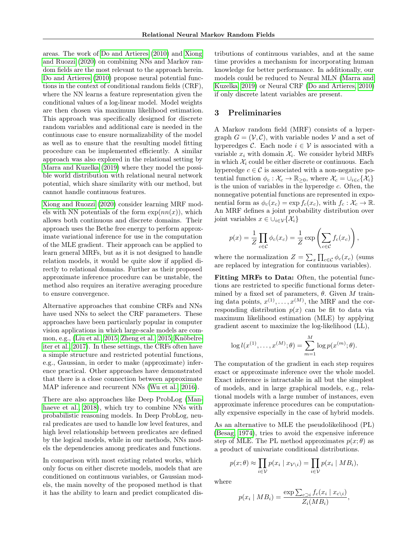areas. The work of [Do and Artieres](#page-8-6) [\(2010\)](#page-8-6) and [Xiong](#page-9-6) [and Ruozzi](#page-9-6) [\(2020\)](#page-9-6) on combining NNs and Markov random fields are the most relevant to the approach herein. [Do and Artieres](#page-8-6) [\(2010\)](#page-8-6) propose neural potential functions in the context of conditional random fields (CRF), where the NN learns a feature representation given the conditional values of a log-linear model. Model weights are then chosen via maximum likelihood estimation. This approach was specifically designed for discrete random variables and additional care is needed in the continuous case to ensure normalizability of the model as well as to ensure that the resulting model fitting procedure can be implemented efficiently. A similar approach was also explored in the relational setting by [Marra and Kuzelka](#page-9-7) [\(2019\)](#page-9-7) where they model the possible world distribution with relational neural network potential, which share similarity with our method, but cannot handle continuous features.

[Xiong and Ruozzi](#page-9-6) [\(2020\)](#page-9-6) consider learning MRF models with NN potentials of the form  $\exp(nn(x))$ , which allows both continuous and discrete domains. Their approach uses the Bethe free energy to perform approximate variational inference for use in the computation of the MLE gradient. Their approach can be applied to learn general MRFs, but as it is not designed to handle relation models, it would be quite slow if applied directly to relational domains. Further as their proposed approximate inference procedure can be unstable, the method also requires an iterative averaging procedure to ensure convergence.

Alternative approaches that combine CRFs and NNs have used NNs to select the CRF parameters. These approaches have been particularly popular in computer vision applications in which large-scale models are common, e.g., [\(Liu et al., 2015;](#page-8-2) [Zheng et al., 2015;](#page-9-8) [Knöbelre](#page-8-3)[iter et al., 2017\)](#page-8-3). In these settings, the CRFs often have a simple structure and restricted potential functions, e.g., Gaussian, in order to make (approximate) inference practical. Other approaches have demonstrated that there is a close connection between approximate MAP inference and recurrent NNs [\(Wu et al., 2016\)](#page-9-9).

There are also approaches like Deep ProbLog [\(Man](#page-9-10)[haeve et al., 2018\)](#page-9-10), which try to combine NNs with probabilistic reasoning models. In Deep ProbLog, neural predicates are used to handle low level features, and high level relationship between predicates are defined by the logical models, while in our methods, NNs models the dependencies among predicates and functions.

In comparison with most existing related works, which only focus on either discrete models, models that are conditioned on continuous variables, or Gaussian models, the main novelty of the proposed method is that it has the ability to learn and predict complicated distributions of continuous variables, and at the same time provides a mechanism for incorporating human knowledge for better performance. In additionally, our models could be reduced to Neural MLN [\(Marra and](#page-9-7) [Kuzelka, 2019\)](#page-9-7) or Neural CRF [\(Do and Artieres, 2010\)](#page-8-6) if only discrete latent variables are present.

## 3 Preliminaries

A Markov random field (MRF) consists of a hypergraph  $G = (\mathcal{V}, \mathcal{C})$ , with variable nodes V and a set of hyperedges C. Each node  $i \in V$  is associated with a variable  $x_i$  with domain  $\mathcal{X}_i$ . We consider hybrid MRFs in which  $\mathcal{X}_i$  could be either discrete or continuous. Each hyperedge  $c \in \mathcal{C}$  is associated with a non-negative potential function  $\phi_c : \mathcal{X}_c \to \mathbb{R}_{\geq 0}$ , where  $\mathcal{X}_c = \cup_{i \in c} {\{\mathcal{X}_i\}}$ is the union of variables in the hyperedge  $c$ . Often, the nonnegative potential functions are represented in exponential form as  $\phi_c(x_c) = \exp f_c(x_c)$ , with  $f_c : \mathcal{X}_c \to \mathbb{R}$ . An MRF defines a joint probability distribution over joint variables  $x \in \bigcup_{i \in \mathcal{V}} \{\mathcal{X}_i\}$ 

$$
p(x) = \frac{1}{Z} \prod_{c \in C} \phi_c(x_c) = \frac{1}{Z} \exp \left( \sum_{c \in C} f_c(x_c) \right),
$$

where the normalization  $Z = \sum_{x} \prod_{c \in \mathcal{C}} \phi_c(x_c)$  (sums are replaced by integration for continuous variables).

Fitting MRFs to Data: Often, the potential functions are restricted to specific functional forms determined by a fixed set of parameters,  $\theta$ . Given M training data points,  $x^{(1)}, \ldots, x^{(M)}$ , the MRF and the corresponding distribution  $p(x)$  can be fit to data via maximum likelihood estimation (MLE) by applying gradient ascent to maximize the log-likelihood (LL),

$$
\log l(x^{(1)}, \dots, x^{(M)}; \theta) = \sum_{m=1}^{M} \log p(x^{(m)}; \theta).
$$

The computation of the gradient in each step requires exact or approximate inference over the whole model. Exact inference is intractable in all but the simplest of models, and in large graphical models, e.g., relational models with a large number of instances, even approximate inference procedures can be computationally expensive especially in the case of hybrid models.

As an alternative to MLE the pseudolikelihood (PL) [\(Besag, 1974\)](#page-8-7), tries to avoid the expensive inference step of MLE. The PL method approximates  $p(x; \theta)$  as a product of univariate conditional distributions.

$$
p(x; \theta) \approx \prod_{i \in \mathcal{V}} p(x_i \mid x_{\mathcal{V} \setminus i}) = \prod_{i \in \mathcal{V}} p(x_i \mid MB_i),
$$

where

$$
p(x_i | MB_i) = \frac{\exp \sum_{c \supset i} f_c(x_i | x_{c \setminus i})}{Z_i(MB_i)},
$$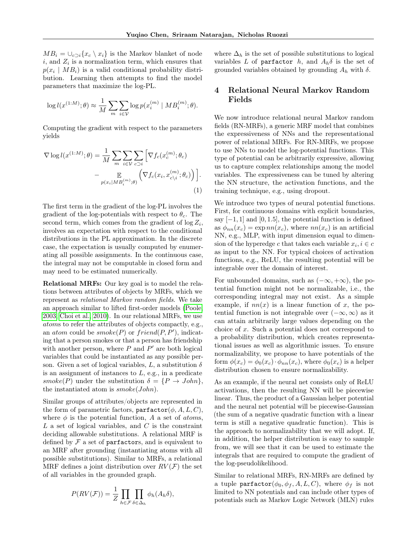$MB_i = \bigcup_{c \supset i} \{x_c \setminus x_i\}$  is the Markov blanket of node  $i$ , and  $Z_i$  is a normalization term, which ensures that  $p(x_i \mid MB_i)$  is a valid conditional probability distribution. Learning then attempts to find the model parameters that maximize the log-PL.

$$
\log l(x^{(1:M)}; \theta) \approx \frac{1}{M} \sum_{m} \sum_{i \in \mathcal{V}} \log p(x_i^{(m)} \mid MB_i^{(m)}; \theta).
$$

Computing the gradient with respect to the parameters yields

$$
\nabla \log l(x^{(1:M)}; \theta) = \frac{1}{M} \sum_{m} \sum_{i \in \mathcal{V}} \sum_{c \supset i} \left[ \nabla f_c(x_c^{(m)}; \theta_c) - \mathbb{E}_{p(x_i | MB_i^{(m)}; \theta)} \left( \nabla f_c(x_i, x_{c \setminus i}^{(m)}; \theta_c) \right) \right].
$$
\n(1)

The first term in the gradient of the log-PL involves the gradient of the log-potentials with respect to  $\theta_c$ . The second term, which comes from the gradient of  $log Z_i$ , involves an expectation with respect to the conditional distributions in the PL approximation. In the discrete case, the expectation is usually computed by enumerating all possible assignments. In the continuous case, the integral may not be computable in closed form and may need to be estimated numerically.

Relational MRFs: Our key goal is to model the relations between attributes of objects by MRFs, which we represent as relational Markov random fields. We take an approach similar to lifted first-order models [\(Poole,](#page-9-5) [2003;](#page-9-5) [Choi et al., 2010\)](#page-8-8). In our relational MRFs, we use atoms to refer the attributes of objects compactly, e.g., an *atom* could be  $smoke(P)$  or  $friend(P, P')$ , indicating that a person smokes or that a person has friendship with another person, where  $P$  and  $P'$  are both logical variables that could be instantiated as any possible person. Given a set of logical variables, L, a substitution  $\delta$ is an assignment of instances to  $L$ , e.g., in a predicate smoke(P) under the substitution  $\delta = \{P \to John\},\$ the instantiated atom is  $smoke(John)$ .

Similar groups of attributes/objects are represented in the form of parametric factors, parfactor $(\phi, A, L, C)$ , where  $\phi$  is the potential function, A a set of *atoms*,  $L$  a set of logical variables, and  $C$  is the constraint deciding allowable substitutions. A relational MRF is defined by  $\mathcal F$  a set of parfactors, and is equivalent to an MRF after grounding (instantiating atoms with all possible substitutions). Similar to MRFs, a relational MRF defines a joint distribution over  $RV(F)$  the set of all variables in the grounded graph.

$$
P(RV(\mathcal{F})) = \frac{1}{Z} \prod_{h \in \mathcal{F}} \prod_{\delta \in \Delta_h} \phi_h(A_h \delta),
$$

where  $\Delta_h$  is the set of possible substitutions to logical variables L of parfactor h, and  $A_h \delta$  is the set of grounded variables obtained by grounding  $A_h$  with  $\delta$ .

# 4 Relational Neural Markov Random Fields

We now introduce relational neural Markov random fields (RN-MRFs), a generic MRF model that combines the expressiveness of NNs and the representational power of relational MRFs. For RN-MRFs, we propose to use NNs to model the log-potential functions. This type of potential can be arbitrarily expressive, allowing us to capture complex relationships among the model variables. The expressiveness can be tuned by altering the NN structure, the activation functions, and the training technique, e.g., using dropout.

<span id="page-2-0"></span>We introduce two types of neural potential functions. First, for continuous domains with explicit boundaries, say  $[-1, 1]$  and  $[0, 1.5]$ , the potential function is defined as  $\phi_{nn}(x_c) = \exp nn(x_c)$ , where  $nn(x_c)$  is an artificial NN, e.g., MLP, with input dimension equal to dimension of the hyperedge c that takes each variable  $x_i, i \in \mathcal{C}$ as input to the NN. For typical choices of activation functions, e.g., ReLU, the resulting potential will be integrable over the domain of interest.

For unbounded domains, such as  $(-\infty, +\infty)$ , the potential function might not be normalizable, i.e., the corresponding integral may not exist. As a simple example, if  $nn(x)$  is a linear function of x, the potential function is not integrable over  $(-\infty, \infty)$  as it can attain arbitrarily large values depending on the choice of x. Such a potential does not correspond to a probability distribution, which creates representational issues as well as algorithmic issues. To ensure normalizability, we propose to have potentials of the form  $\phi(x_c) = \phi_0(x_c) \cdot \phi_{nn}(x_c)$ , where  $\phi_0(x_c)$  is a helper distribution chosen to ensure normalizability.

As an example, if the neural net consists only of ReLU activations, then the resulting NN will be piecewise linear. Thus, the product of a Gaussian helper potential and the neural net potential will be piecewise-Gaussian (the sum of a negative quadratic function with a linear term is still a negative quadratic function). This is the approach to normalizability that we will adopt. If, in addition, the helper distribution is easy to sample from, we will see that it can be used to estimate the integrals that are required to compute the gradient of the log-pseudolikelihood.

Similar to relational MRFs, RN-MRFs are defined by a tuple parfactor( $\phi_0, \phi_f, A, L, C$ ), where  $\phi_f$  is not limited to NN potentials and can include other types of potentials such as Markov Logic Network (MLN) rules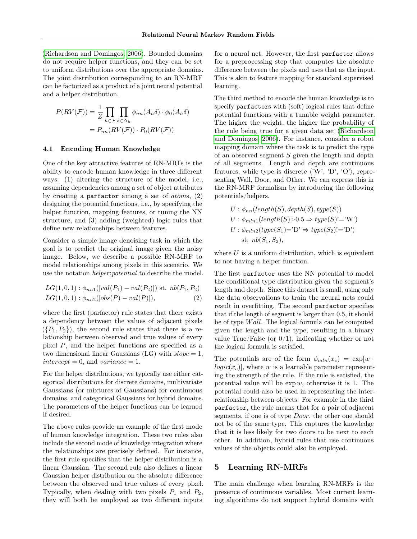[\(Richardson and Domingos, 2006\)](#page-9-11). Bounded domains do not require helper functions, and they can be set to uniform distributions over the appropriate domains. The joint distribution corresponding to an RN-MRF can be factorized as a product of a joint neural potential and a helper distribution.

$$
P(RV(\mathcal{F})) = \frac{1}{Z} \prod_{h \in \mathcal{F}} \prod_{\delta \in \Delta_h} \phi_{nn}(A_h \delta) \cdot \phi_0(A_h \delta)
$$

$$
= P_{nn}(RV(\mathcal{F})) \cdot P_0(RV(\mathcal{F}))
$$

#### 4.1 Encoding Human Knowledge

One of the key attractive features of RN-MRFs is the ability to encode human knowledge in three different ways: (1) altering the structure of the model, i.e., assuming dependencies among a set of object attributes by creating a parfactor among a set of  $atoms$ ,  $(2)$ designing the potential functions, i.e., by specifying the helper function, mapping features, or tuning the NN structure, and (3) adding (weighted) logic rules that define new relationships between features.

Consider a simple image denoising task in which the goal is to predict the original image given the noisy image. Below, we describe a possible RN-MRF to model relationships among pixels in this scenario. We use the notation *helper: potential* to describe the model.

$$
LG(1,0,1): \phi_{nn1}(|val(P_1) - val(P_2)|) \text{ st. } nb(P_1, P_2)
$$
  

$$
LG(1,0,1): \phi_{nn2}(|obs(P) - val(P)|),
$$
 (2)

where the first (parfactor) rule states that there exists a dependency between the values of adjacent pixels  $({P_1, P_2})$ , the second rule states that there is a relationship between observed and true values of every pixel P, and the helper functions are specified as a two dimensional linear Gaussians (LG) with  $slope = 1$ ,  $intercept = 0$ , and  $variance = 1$ .

For the helper distributions, we typically use either categorical distributions for discrete domains, multivariate Gaussians (or mixtures of Gaussians) for continuous domains, and categorical Gaussians for hybrid domains. The parameters of the helper functions can be learned if desired.

The above rules provide an example of the first mode of human knowledge integration. These two rules also include the second mode of knowledge integration where the relationships are precisely defined. For instance, the first rule specifies that the helper distribution is a linear Gaussian. The second rule also defines a linear Gaussian helper distribution on the absolute difference between the observed and true values of every pixel. Typically, when dealing with two pixels  $P_1$  and  $P_2$ , they will both be employed as two different inputs

for a neural net. However, the first parfactor allows for a preprocessing step that computes the absolute difference between the pixels and uses that as the input. This is akin to feature mapping for standard supervised learning.

The third method to encode the human knowledge is to specify parfactors with (soft) logical rules that define potential functions with a tunable weight parameter. The higher the weight, the higher the probability of the rule being true for a given data set [\(Richardson](#page-9-11) [and Domingos, 2006\)](#page-9-11). For instance, consider a robot mapping domain where the task is to predict the type of an observed segment S given the length and depth of all segments. Length and depth are continuous features, while type is discrete  $\langle 'W', 'D', 'O' \rangle$ , representing Wall, Door, and Other. We can express this in the RN-MRF formalism by introducing the following potentials/helpers.

$$
U: \phi_{nn}(length(S), depth(S), type(S))
$$
  
\n
$$
U: \phi_{mln1}(length(S) > 0.5 \Rightarrow type(S)! = W')
$$
  
\n
$$
U: \phi_{mln2}(type(S_1) = D' \Rightarrow type(S_2)! = D')
$$
  
\n
$$
st. nb(S_1, S_2),
$$

where  $U$  is a uniform distribution, which is equivalent to not having a helper function.

<span id="page-3-0"></span>The first parfactor uses the NN potential to model the conditional type distribution given the segment's length and depth. Since this dataset is small, using only the data observations to train the neural nets could result in overfitting. The second parfactor specifies that if the length of segment is larger than 0.5, it should be of type  $Wall.$  The logical formula can be computed given the length and the type, resulting in a binary value True/False (or  $0/1$ ), indicating whether or not the logical formula is satisfied.

The potentials are of the form  $\phi_{mln}(x_c) = \exp[w + \phi_{mln}(x_c)]$  $logic(x_c)$ , where w is a learnable parameter representing the strength of the rule. If the rule is satisfied, the potential value will be  $\exp w$ , otherwise it is 1. The potential could also be used in representing the interrelationship between objects. For example in the third parfactor, the rule means that for a pair of adjacent segments, if one is of type Door, the other one should not be of the same type. This captures the knowledge that it is less likely for two doors to be next to each other. In addition, hybrid rules that use continuous values of the objects could also be employed.

#### 5 Learning RN-MRFs

The main challenge when learning RN-MRFs is the presence of continuous variables. Most current learning algorithms do not support hybrid domains with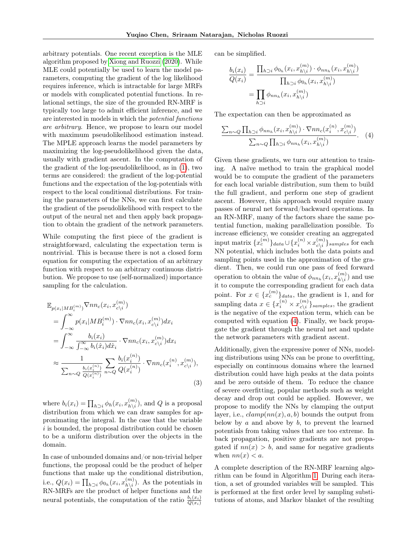arbitrary potentials. One recent exception is the MLE algorithm proposed by [Xiong and Ruozzi](#page-9-6) [\(2020\)](#page-9-6). While MLE could potentially be used to learn the model parameters, computing the gradient of the log likelihood requires inference, which is intractable for large MRFs or models with complicated potential functions. In relational settings, the size of the grounded RN-MRF is typically too large to admit efficient inference, and we are interested in models in which the potential functions are arbitrary. Hence, we propose to learn our model with maximum pseudolikelihood estimation instead. The MPLE approach learns the model parameters by maximizing the log-pseudolikelihood given the data, usually with gradient ascent. In the computation of the gradient of the log-pseudolikelihood, as in [\(1\)](#page-2-0), two terms are considered: the gradient of the log-potential functions and the expectation of the log-potentials with respect to the local conditional distributions. For training the parameters of the NNs, we can first calculate the gradient of the pseudolikelihood with respect to the output of the neural net and then apply back propagation to obtain the gradient of the network parameters.

While computing the first piece of the gradient is straightforward, calculating the expectation term is nontrivial. This is because there is not a closed form equation for computing the expectation of an arbitrary function with respect to an arbitrary continuous distribution. We propose to use (self-normalized) importance sampling for the calculation.

$$
\mathbb{E}_{p(x_i|MB_i^{(m)})}\nabla nn_c(x_i, x_{c\backslash i}^{(m)})
$$
\n
$$
= \int_{-\infty}^{\infty} p(x_i|MB_i^{(m)}) \cdot \nabla nn_c(x_i, x_{c\backslash i}^{(m)}) dx_i
$$
\n
$$
= \int_{-\infty}^{\infty} \frac{b_i(x_i)}{\int_{-\infty}^{\infty} b_i(\hat{x}_i) d\hat{x}_i} \cdot \nabla nn_c(x_i, x_{c\backslash i}^{(m)}) dx_i
$$
\n
$$
\approx \frac{1}{\sum_{n\sim Q} \frac{b_i(x_i^{(n)})}{Q(x_i^{(n)})}} \sum_{n\sim Q} \frac{b_i(x_i^{(n)})}{Q(x_i^{(n)})} \cdot \nabla nn_c(x_i^{(n)}, x_{c\backslash i}^{(m)}),
$$
\n(3)

where  $b_i(x_i) = \prod_{h \supset i} \phi_h(x_i, x_{h \setminus i}^{(m)})$  $\binom{m}{h\setminus i}$ , and Q is a proposal distribution from which we can draw samples for approximating the integral. In the case that the variable i is bounded, the proposal distribution could be chosen to be a uniform distribution over the objects in the domain.

In case of unbounded domains and/or non-trivial helper functions, the proposal could be the product of helper functions that make up the conditional distribution, i.e.,  $Q(x_i) = \prod_{h \supset i} \phi_{0_h}(x_i, x_{h \setminus i}^{(m)})$  $\binom{m}{h\setminus i}$ . As the potentials in RN-MRFs are the product of helper functions and the neural potentials, the computation of the ratio  $\frac{b_i(x_i)}{Q(x_i)}$ 

can be simplified.

$$
\frac{b_i(x_i)}{Q(x_i)} = \frac{\prod_{h \supset i} \phi_{0_h}(x_i, x_{h \setminus i}^{(m)}) \cdot \phi_{nn_h}(x_i, x_{h \setminus i}^{(m)})}{\prod_{h \supset i} \phi_{0_h}(x_i, x_{h \setminus i}^{(m)})}
$$
\n
$$
= \prod_{h \supset i} \phi_{nn_h}(x_i, x_{h \setminus i}^{(m)})
$$

The expectation can then be approximated as

<span id="page-4-0"></span>
$$
\frac{\sum_{n\sim Q} \prod_{h\supset i} \phi_{nn_h}(x_i, x_{h\setminus i}^{(m)}) \cdot \nabla nn_c(x_i^{(n)}, x_{c\setminus i}^{(m)})}{\sum_{n\sim Q} \prod_{h\supset i} \phi_{nn_h}(x_i, x_{h\setminus i}^{(m)})}.
$$
 (4)

Given these gradients, we turn our attention to training. A naïve method to train the graphical model would be to compute the gradient of the parameters for each local variable distribution, sum them to build the full gradient, and perform one step of gradient ascent. However, this approach would require many passes of neural net forward/backward operations. In an RN-MRF, many of the factors share the same potential function, making parallelization possible. To increase efficiency, we consider creating an aggregated  $\begin{split} \text{input matrix}\ \{x_c^{(m)}\}_{data} \!\cup\! \{x_i^{(n)}\!\times\! x_{c\backslash i}^{(m)} \end{split}$  $\binom{m}{c \setminus i}$  samples for each NN potential, which includes both the data points and sampling points used in the approximation of the gradient. Then, we could run one pass of feed forward operation to obtain the value of  $\phi_{nn_h}(x_i, x_{h\setminus i}^{(m)})$  $\binom{m}{h\setminus i}$  and use it to compute the corresponding gradient for each data point. For  $x \in \{x_c^{(m)}\}_{data}$ , the gradient is 1, and for sampling data  $x \in \{x_i^{(n)} \times x_{c \backslash i}^{(m)}\}$  ${}_{c\backslash i}^{(m)}\}_{samples}$ , the gradient is the negative of the expectation term, which can be computed with equation [\(4\)](#page-4-0). Finally, we back propagate the gradient through the neural net and update the network parameters with gradient ascent.

Additionally, given the expressive power of NNs, modeling distributions using NNs can be prone to overfitting, especially on continuous domains where the learned distribution could have high peaks at the data points and be zero outside of them. To reduce the chance of severe overfitting, popular methods such as weight decay and drop out could be applied. However, we propose to modify the NNs by clamping the output layer, i.e.,  $clamp(nn(x), a, b)$  bounds the output from below by  $a$  and above by  $b$ , to prevent the learned potentials from taking values that are too extreme. In back propagation, positive gradients are not propagated if  $nn(x) > b$ , and same for negative gradients when  $nn(x) < a$ .

A complete description of the RN-MRF learning algorithm can be found in Algorithm [1.](#page-5-0) During each iteration, a set of grounded variables will be sampled. This is performed at the first order level by sampling substitutions of atoms, and Markov blanket of the resulting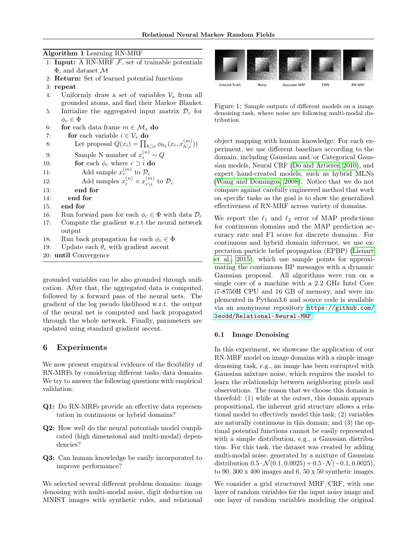#### Algorithm 1 Learning RN-MRF

- <span id="page-5-0"></span>1: Input: A RN-MRF  $F$ , set of trainable potentials Φ, and dataset M
- 2: Return: Set of learned potential functions
- 3: repeat
- 4: Uniformly draw a set of variables  $\mathcal{V}_s$  from all grounded atoms, and find their Markov Blanket.
- 5: Initialize the aggregated input matrix  $\mathcal{D}_c$  for  $\phi_c \in \Phi$
- 6: for each data frame  $m \in \mathcal{M}_s$  do 7: **for** each variable  $i \in \mathcal{V}_s$  **do** 8: Let proposal  $Q(x_i) = \prod_{h \supset i} \phi_{0_h}(x_i, x_{h \setminus i}^{(m)})$  $\binom{m}{h\setminus i}$ 9: Sample N number of  $x_i^{(n)} \sim Q$ 10: **for** each  $\phi_c$  where  $c \supset i$  **do** 11: Add sample  $x_c^{(m)}$  to  $\mathcal{D}_c$ 12: Add samples  $x_i^{(n)} \times x_{c \backslash i}^{(m)}$  $_{c\backslash i}^{(m)}$  to  $\mathcal{D}_c$ 13: end for 14: end for 15: end for 16: Run forward pass for each  $\phi_c \in \Phi$  with data  $\mathcal{D}_c$ 17: Compute the gradient w.r.t the neural network output 18: Run back propagation for each  $\phi_c \in \Phi$ 19: Update each  $\theta_c$  with gradient ascent 20: until Convergence

grounded variables can be also grounded through unification. After that, the aggregated data is computed, followed by a forward pass of the neural nets. The gradient of the log pseudo likelihood w.r.t. the output of the neural net is computed and back propagated through the whole network. Finally, parameters are updated using standard gradient ascent.

#### 6 Experiments

We now present empirical evidence of the flexibility of RN-MRFs by considering different tasks/data domains. We try to answer the following questions with empirical validation.

- Q1: Do RN-MRFs provide an effective data representation in continuous or hybrid domains?
- Q2: How well do the neural potentials model complicated (high dimensional and multi-modal) dependencies?
- Q3: Can human knowledge be easily incorporated to improve performance?

We selected several different problem domains: image denoising with multi-modal noise, digit deduction on MNIST images with synthetic rules, and relational



<span id="page-5-1"></span>Figure 1: Sample outputs of different models on a image denoising task, where noise are following multi-modal distribution.

object mapping with human knowledge. For each experiment, we use different baselines according to the domain, including Gaussian and/or Categorical Gaussian models, Neural CRF [\(Do and Artieres, 2010\)](#page-8-6), and expert/hand-created models, such as hybrid MLNs [\(Wang and Domingos, 2008\)](#page-9-12). Notice that we do not compare against carefully engineered method that work on specific tasks as the goal is to show the generalized effectiveness of RN-MRF across variety of domains.

We report the  $\ell_1$  and  $\ell_2$  error of MAP predictions for continuous domains and the MAP prediction accuracy rate and F1 score for discrete domains. For continuous and hybrid domain inference, we use expectation particle belief propagation (EPBP) [\(Lienart](#page-8-9) [et al., 2015\)](#page-8-9), which use sample points for approximating the continuous BP messages with a dynamic Gaussian proposal. All algorithms were run on a single core of a machine with a 2.2 GHz Intel Core i7-8750H CPU and 16 GB of memory, and were implemented in Python3.6 and source code is available via an anonymous repository [https://github.com/](https://github.com/leodd/Relational-Neural-MRF) [leodd/Relational-Neural-MRF](https://github.com/leodd/Relational-Neural-MRF).

#### 6.1 Image Denoising

In this experiment, we showcase the application of our RN-MRF model on image domains with a simple image denoising task, e.g., an image has been corrupted with Gaussian mixture noise, which requires the model to learn the relationship between neighboring pixels and observations. The reason that we choose this domain is threefold: (1) while at the outset, this domain appears propositional, the inherent grid structure allows a relational model to effectively model this task; (2) variables are naturally continuous in this domain; and (3) the optimal potential functions cannot be easily represented with a simple distribution, e.g., a Gaussian distribution. For this task, the dataset was created by adding multi-modal noise, generated by a mixture of Gaussian distribution  $0.5 \cdot \mathcal{N}(0.1, 0.0025) + 0.5 \cdot \mathcal{N}(-0.1, 0.0025)$ , to 90, 300 x 400 images and 6, 50 x 50 synthetic images.

We consider a grid structured MRF/CRF, with one layer of random variables for the input noisy image and one layer of random variables modeling the original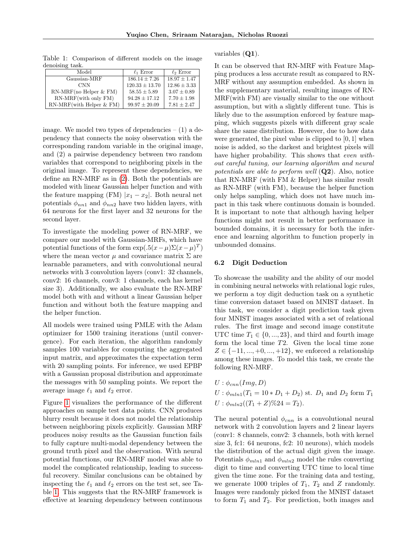| Model                       | $\ell_1$ Error     | $\ell_2$ Error   |
|-----------------------------|--------------------|------------------|
| Gaussian-MRF                | $186.14 \pm 7.26$  | $18.97 \pm 1.47$ |
| <b>CNN</b>                  | $120.33 \pm 13.70$ | $12.86 \pm 3.33$ |
| $RN-MRF$ (no Helper & FM)   | $58.55 \pm 5.89$   | $3.07 \pm 0.89$  |
| RN-MRF(with only FM)        | $94.28 \pm 17.12$  | $7.70 \pm 1.98$  |
| $RN-MRF$ (with Helper & FM) | $99.97 \pm 20.09$  | $7.81 \pm 2.47$  |

<span id="page-6-0"></span>Table 1: Comparison of different models on the image denoising task.

image. We model two types of dependencies  $- (1)$  a dependency that connects the noisy observation with the corresponding random variable in the original image, and (2) a pairwise dependency between two random variables that correspond to neighboring pixels in the original image. To represent these dependencies, we define an RN-MRF as in [\(2\)](#page-3-0). Both the potentials are modeled with linear Gaussian helper function and with the feature mapping (FM)  $|x_1 - x_2|$ . Both neural net potentials  $\phi_{nn1}$  and  $\phi_{nn2}$  have two hidden layers, with 64 neurons for the first layer and 32 neurons for the second layer.

To investigate the modeling power of RN-MRF, we compare our model with Gaussian-MRFs, which have potential functions of the form  $\exp(.5(x-\mu)\Sigma(x-\mu)^T)$ where the mean vector  $\mu$  and covariance matrix  $\Sigma$  are learnable parameters, and with convolutional neural networks with 3 convolution layers (conv1: 32 channels, conv2: 16 channels, conv3: 1 channels, each has kernel size 3). Additionally, we also evaluate the RN-MRF model both with and without a linear Gaussian helper function and without both the feature mapping and the helper function.

All models were trained using PMLE with the Adam optimizer for 1500 training iterations (until convergence). For each iteration, the algorithm randomly samples 100 variables for computing the aggregated input matrix, and approximates the expectation term with 20 sampling points. For inference, we used EPBP with a Gaussian proposal distribution and approximate the messages with 50 sampling points. We report the average image  $\ell_1$  and  $\ell_2$  error.

Figure [1](#page-5-1) visualizes the performance of the different approaches on sample test data points. CNN produces blurry result because it does not model the relationship between neighboring pixels explicitly. Gaussian MRF produces noisy results as the Gaussian function fails to fully capture multi-modal dependency between the ground truth pixel and the observation. With neural potential functions, our RN-MRF model was able to model the complicated relationship, leading to successful recovery. Similar conclusions can be obtained by inspecting the  $\ell_1$  and  $\ell_2$  errors on the test set, see Table [1.](#page-6-0) This suggests that the RN-MRF framework is effective at learning dependency between continuous variables (Q1).

It can be observed that RN-MRF with Feature Mapping produces a less accurate result as compared to RN-MRF without any assumption embedded. As shown in the supplementary material, resulting images of RN-MRF(with FM) are visually similar to the one without assumption, but with a slightly different tune. This is likely due to the assumption enforced by feature mapping, which suggests pixels with different gray scale share the same distribution. However, due to how data were generated, the pixel value is clipped to  $[0, 1]$  when noise is added, so the darkest and brightest pixels will have higher probability. This shows that even without careful tuning, our learning algorithm and neural potentials are able to perform well  $(Q2)$ . Also, notice that RN-MRF (with FM & Helper) has similar result as RN-MRF (with FM), because the helper function only helps sampling, which does not have much impact in this task where continuous domain is bounded. It is important to note that although having helper functions might not result in better performance in bounded domains, it is necessary for both the inference and learning algorithm to function properly in unbounded domains.

#### 6.2 Digit Deduction

To showcase the usability and the ability of our model in combining neural networks with relational logic rules, we perform a toy digit deduction task on a synthetic time conversion dataset based on MNIST dataset. In this task, we consider a digit prediction task given four MNIST images associated with a set of relational rules. The first image and second image constitute UTC time  $T_1 \in \{0, ..., 23\}$ , and third and fourth image form the local time T2. Given the local time zone  $Z \in \{-11, ..., +0, ..., +12\}$ , we enforced a relationship among these images. To model this task, we create the following RN-MRF.

 $U$  :  $\phi_{cnn}(Imq, D)$  $U : \phi_{mln1}(T_1 = 10 * D_1 + D_2)$  st.  $D_1$  and  $D_2$  form  $T_1$  $U : \phi_{mln2}((T_1+Z)\%24=T_2).$ 

The neural potential  $\phi_{cnn}$  is a convolutional neural network with 2 convolution layers and 2 linear layers (conv1: 8 channels, conv2: 3 channels, both with kernel size 3, fc1: 64 neurons, fc2: 10 neurons), which models the distribution of the actual digit given the image. Potentials  $\phi_{mln1}$  and  $\phi_{mln2}$  model the rules converting digit to time and converting UTC time to local time given the time zone. For the training data and testing, we generate 1000 triples of  $T_1$ ,  $T_2$  and Z randomly. Images were randomly picked from the MNIST dataset to form  $T_1$  and  $T_2$ . For prediction, both images and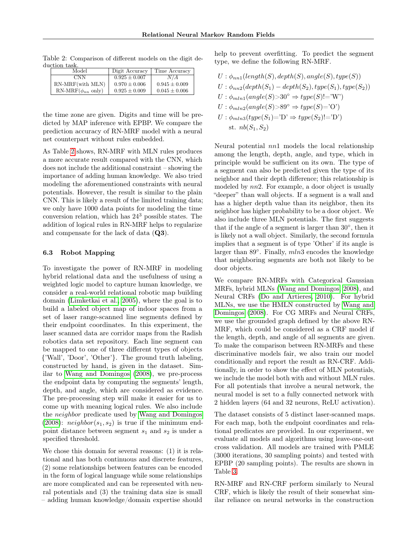| Model                     | Digit Accuracy    | Time Accuracy     |
|---------------------------|-------------------|-------------------|
| CNN                       | $0.925 \pm 0.007$ | N/A               |
| RN-MRF(with MLN)          | $0.970 \pm 0.006$ | $0.945 \pm 0.009$ |
| RN-MRF $(\phi_{nn}$ only) | $0.925 \pm 0.009$ | $0.045 \pm 0.006$ |

<span id="page-7-0"></span>Table 2: Comparison of different models on the digit deduction task.

the time zone are given. Digits and time will be predicted by MAP inference with EPBP. We compare the prediction accuracy of RN-MRF model with a neural net counterpart without rules embedded.

As Table [2](#page-7-0) shows, RN-MRF with MLN rules produces a more accurate result compared with the CNN, which does not include the additional constraint – showing the importance of adding human knowledge. We also tried modeling the aforementioned constraints with neural potentials. However, the result is similar to the plain CNN. This is likely a result of the limited training data; we only have 1000 data points for modeling the time conversion relation, which has 24<sup>3</sup> possible states. The addition of logical rules in RN-MRF helps to regularize and compensate for the lack of data  $(Q3)$ .

#### 6.3 Robot Mapping

To investigate the power of RN-MRF in modeling hybrid relational data and the usefulness of using a weighted logic model to capture human knowledge, we consider a real-world relational robotic map building domain [\(Limketkai et al., 2005\)](#page-8-10), where the goal is to build a labeled object map of indoor spaces from a set of laser range-scanned line segments defined by their endpoint coordinates. In this experiment, the laser scanned data are corridor maps from the Radish robotics data set repository. Each line segment can be mapped to one of three different types of objects {'Wall', 'Door', 'Other'}. The ground truth labeling, constructed by hand, is given in the dataset. Similar to [Wang and Domingos](#page-9-12) [\(2008\)](#page-9-12), we pre-process the endpoint data by computing the segments' length, depth, and angle, which are considered as evidence. The pre-processing step will make it easier for us to come up with meaning logical rules. We also include the neighbor predicate used by [Wang and Domingos](#page-9-12) [\(2008\)](#page-9-12):  $neighbor(s_1, s_2)$  is true if the minimum endpoint distance between segment  $s_1$  and  $s_2$  is under a specified threshold.

We chose this domain for several reasons: (1) it is relational and has both continuous and discrete features, (2) some relationships between features can be encoded in the form of logical language while some relationships are more complicated and can be represented with neural potentials and (3) the training data size is small – adding human knowledge/domain expertise should help to prevent overfitting. To predict the segment type, we define the following RN-MRF.

$$
U: \phi_{nn1}(length(S), depth(S), angle(S), type(S))
$$
  
\n
$$
U: \phi_{nn2}(depth(S_1) - depth(S_2), type(S_1), type(S_2))
$$
  
\n
$$
U: \phi_{mln1}(angle(S) > 30^\circ \Rightarrow type(S)! = 'W')
$$
  
\n
$$
U: \phi_{mln2}(angle(S) > 89^\circ \Rightarrow type(S) = 'O')
$$
  
\n
$$
U: \phi_{mln3}(type(S_1) = 'D' \Rightarrow type(S_2)! = 'D')
$$
  
\n
$$
st. nb(S_1, S_2)
$$

Neural potential nn1 models the local relationship among the length, depth, angle, and type, which in principle would be sufficient on its own. The type of a segment can also be predicted given the type of its neighbor and their depth difference; this relationship is modeled by nn2. For example, a door object is usually "deeper" than wall objects. If a segment is a wall and has a higher depth value than its neighbor, then its neighbor has higher probability to be a door object. We also include three MLN potentials. The first suggests that if the angle of a segment is larger than 30◦ , then it is likely not a wall object. Similarly, the second formula implies that a segment is of type 'Other' if its angle is larger than 89°. Finally,  $mln3$  encodes the knowledge that neighboring segments are both not likely to be door objects.

We compare RN-MRFs with Categorical Gaussian MRFs, hybrid MLNs [\(Wang and Domingos, 2008\)](#page-9-12), and Neural CRFs [\(Do and Artieres, 2010\)](#page-8-6). For hybrid MLNs, we use the HMLN constructed by [Wang and](#page-9-12) [Domingos](#page-9-12) [\(2008\)](#page-9-12). For CG MRFs and Neural CRFs, we use the grounded graph defined by the above RN-MRF, which could be considered as a CRF model if the length, depth, and angle of all segments are given. To make the comparison between RN-MRFs and these discriminative models fair, we also train our model conditionally and report the result as RN-CRF. Additionally, in order to show the effect of MLN potentials, we include the model both with and without MLN rules. For all potentials that involve a neural network, the neural model is set to a fully connected network with 2 hidden layers (64 and 32 neurons, ReLU activation).

The dataset consists of 5 distinct laser-scanned maps. For each map, both the endpoint coordinates and relational predicates are provided. In our experiment, we evaluate all models and algorithms using leave-one-out cross validation. All models are trained with PMLE (3000 iterations, 30 sampling points) and tested with EPBP (20 sampling points). The results are shown in Table [3.](#page-8-11)

RN-MRF and RN-CRF perform similarly to Neural CRF, which is likely the result of their somewhat similar reliance on neural networks in the construction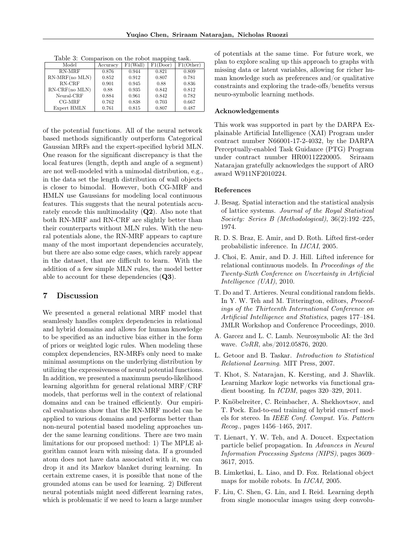<span id="page-8-11"></span>Table 3: Comparison on the robot mapping task.

| Model            | Accuracy | F1(Wall) | F1(Door) | F1(Other) |
|------------------|----------|----------|----------|-----------|
| RN-MRF           | 0.876    | 0.944    | 0.821    | 0.809     |
| $RN-MRF(no MLN)$ | 0.852    | 0.912    | 0.807    | 0.781     |
| RN-CRF           | 0.901    | 0.945    | 0.88     | 0.836     |
| RN-CRF(no MLN)   | 0.88     | 0.935    | 0.842    | 0.812     |
| Neural-CRF       | 0.884    | 0.961    | 0.842    | 0.782     |
| $CG-MRF$         | 0.762    | 0.838    | 0.703    | 0.667     |
| Expert HMLN      | 0.761    | 0.815    | 0.807    | 0.487     |

of the potential functions. All of the neural network based methods significantly outperform Categorical Gaussian MRFs and the expert-specified hybrid MLN. One reason for the significant discrepancy is that the local features (length, depth and angle of a segment) are not well-modeled with a unimodal distribution, e.g., in the data set the length distribution of wall objects is closer to bimodal. However, both CG-MRF and HMLN use Gaussians for modeling local continuous features. This suggests that the neural potentials accurately encode this multimodality  $(Q2)$ . Also note that both RN-MRF and RN-CRF are slightly better than their counterparts without MLN rules. With the neural potentials alone, the RN-MRF appears to capture many of the most important dependencies accurately, but there are also some edge cases, which rarely appear in the dataset, that are difficult to learn. With the addition of a few simple MLN rules, the model better able to account for these dependencies  $(Q3)$ .

# 7 Discussion

We presented a general relational MRF model that seamlessly handles complex dependencies in relational and hybrid domains and allows for human knowledge to be specified as an inductive bias either in the form of priors or weighted logic rules. When modeling these complex dependencies, RN-MRFs only need to make minimal assumptions on the underlying distribution by utilizing the expressiveness of neural potential functions. In addition, we presented a maximum pseudo-likelihood learning algorithm for general relational MRF/CRF models, that performs well in the context of relational domains and can be trained efficiently. Our empirical evaluations show that the RN-MRF model can be applied to various domains and performs better than non-neural potential based modeling approaches under the same learning conditions. There are two main limitations for our proposed method: 1) The MPLE algorithm cannot learn with missing data. If a grounded atom does not have data associated with it, we can drop it and its Markov blanket during learning. In certain extreme cases, it is possible that none of the grounded atoms can be used for learning. 2) Different neural potentials might need different learning rates, which is problematic if we need to learn a large number of potentials at the same time. For future work, we plan to explore scaling up this approach to graphs with missing data or latent variables, allowing for richer human knowledge such as preferences and/or qualitative constraints and exploring the trade-offs/benefits versus neuro-symbolic learning methods.

#### Acknowledgements

This work was supported in part by the DARPA Explainable Artificial Intelligence (XAI) Program under contract number N66001-17-2-4032, by the DARPA Perceptually-enabled Task Guidance (PTG) Program under contract number HR00112220005. Sriraam Natarajan gratefully acknowledges the support of ARO award W911NF2010224.

#### References

- <span id="page-8-7"></span>J. Besag. Spatial interaction and the statistical analysis of lattice systems. Journal of the Royal Statistical Society: Series B (Methodological), 36(2):192–225, 1974.
- <span id="page-8-5"></span>R. D. S. Braz, E. Amir, and D. Roth. Lifted first-order probabilistic inference. In IJCAI, 2005.
- <span id="page-8-8"></span>J. Choi, E. Amir, and D. J. Hill. Lifted inference for relational continuous models. In Proceedings of the Twenty-Sixth Conference on Uncertainty in Artificial Intelligence (UAI), 2010.
- <span id="page-8-6"></span>T. Do and T. Artieres. Neural conditional random fields. In Y. W. Teh and M. Titterington, editors, *Proceed*ings of the Thirteenth International Conference on Artificial Intelligence and Statistics, pages 177–184. JMLR Workshop and Conference Proceedings, 2010.
- <span id="page-8-4"></span>A. Garcez and L. C. Lamb. Neurosymbolic AI: the 3rd wave. CoRR, abs/2012.05876, 2020.
- <span id="page-8-0"></span>L. Getoor and B. Taskar. Introduction to Statistical Relational Learning. MIT Press, 2007.
- <span id="page-8-1"></span>T. Khot, S. Natarajan, K. Kersting, and J. Shavlik. Learning Markov logic networks via functional gradient boosting. In ICDM, pages 320–329, 2011.
- <span id="page-8-3"></span>P. Knöbelreiter, C. Reinbacher, A. Shekhovtsov, and T. Pock. End-to-end training of hybrid cnn-crf models for stereo. In IEEE Conf. Comput. Vis. Pattern Recog., pages 1456–1465, 2017.
- <span id="page-8-9"></span>T. Lienart, Y. W. Teh, and A. Doucet. Expectation particle belief propagation. In Advances in Neural Information Processing Systems (NIPS), pages 3609– 3617, 2015.
- <span id="page-8-10"></span>B. Limketkai, L. Liao, and D. Fox. Relational object maps for mobile robots. In *IJCAI*, 2005.
- <span id="page-8-2"></span>F. Liu, C. Shen, G. Lin, and I. Reid. Learning depth from single monocular images using deep convolu-